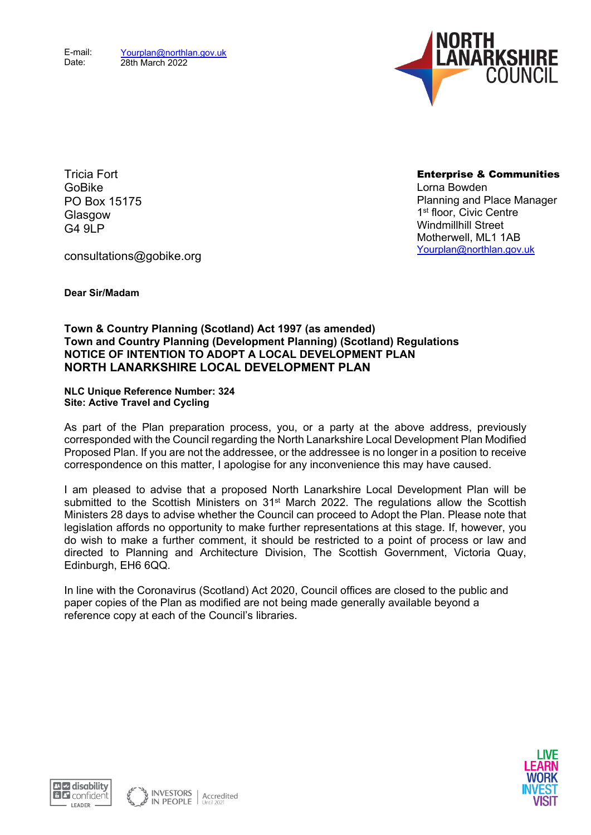

Tricia Fort GoBike PO Box 15175 **Glasgow** G<sub>4</sub> 9LP

Enterprise & Communities Lorna Bowden Planning and Place Manager 1st floor, Civic Centre Windmillhill Street Motherwell, ML1 1AB [Yourplan@northlan.gov.uk](mailto:Yourplan@northlan.gov.uk)

consultations@gobike.org

**Dear Sir/Madam**

## **Town & Country Planning (Scotland) Act 1997 (as amended) Town and Country Planning (Development Planning) (Scotland) Regulations NOTICE OF INTENTION TO ADOPT A LOCAL DEVELOPMENT PLAN NORTH LANARKSHIRE LOCAL DEVELOPMENT PLAN**

**NLC Unique Reference Number: 324 Site: Active Travel and Cycling**

As part of the Plan preparation process, you, or a party at the above address, previously corresponded with the Council regarding the North Lanarkshire Local Development Plan Modified Proposed Plan. If you are not the addressee, or the addressee is no longer in a position to receive correspondence on this matter, I apologise for any inconvenience this may have caused.

I am pleased to advise that a proposed North Lanarkshire Local Development Plan will be submitted to the Scottish Ministers on 31<sup>st</sup> March 2022. The regulations allow the Scottish Ministers 28 days to advise whether the Council can proceed to Adopt the Plan. Please note that legislation affords no opportunity to make further representations at this stage. If, however, you do wish to make a further comment, it should be restricted to a point of process or law and directed to Planning and Architecture Division, The Scottish Government, Victoria Quay, Edinburgh, EH6 6QQ.

In line with the Coronavirus (Scotland) Act 2020, Council offices are closed to the public and paper copies of the Plan as modified are not being made generally available beyond a reference copy at each of the Council's libraries.